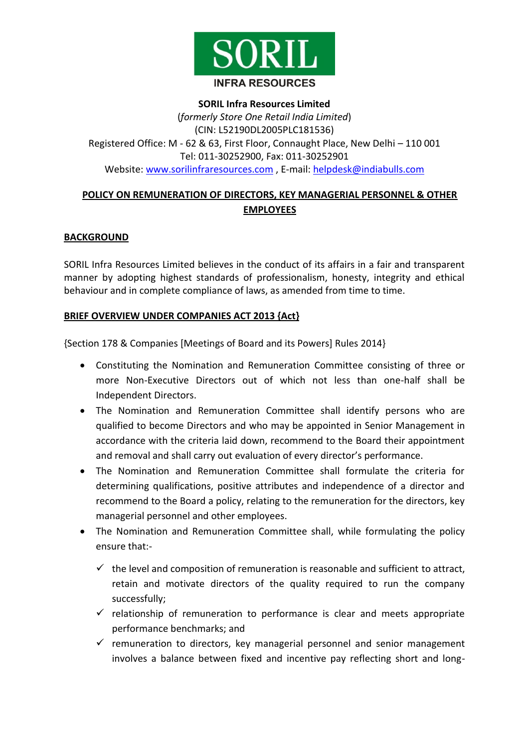

# **SORIL Infra Resources Limited** (*formerly Store One Retail India Limited*) (CIN: L52190DL2005PLC181536) Registered Office: M - 62 & 63, First Floor, Connaught Place, New Delhi – 110 001 Tel: 011-30252900, Fax: 011-30252901 Website: [www.sorilinfraresources.com](http://www.sorilinfraresources.com/), E-mail: [helpdesk@indiabulls.com](mailto:helpdesk@indiabulls.com)

# **POLICY ON REMUNERATION OF DIRECTORS, KEY MANAGERIAL PERSONNEL & OTHER EMPLOYEES**

## **BACKGROUND**

SORIL Infra Resources Limited believes in the conduct of its affairs in a fair and transparent manner by adopting highest standards of professionalism, honesty, integrity and ethical behaviour and in complete compliance of laws, as amended from time to time.

#### **BRIEF OVERVIEW UNDER COMPANIES ACT 2013 {Act}**

{Section 178 & Companies [Meetings of Board and its Powers] Rules 2014}

- Constituting the Nomination and Remuneration Committee consisting of three or more Non-Executive Directors out of which not less than one-half shall be Independent Directors.
- The Nomination and Remuneration Committee shall identify persons who are qualified to become Directors and who may be appointed in Senior Management in accordance with the criteria laid down, recommend to the Board their appointment and removal and shall carry out evaluation of every director's performance.
- The Nomination and Remuneration Committee shall formulate the criteria for determining qualifications, positive attributes and independence of a director and recommend to the Board a policy, relating to the remuneration for the directors, key managerial personnel and other employees.
- The Nomination and Remuneration Committee shall, while formulating the policy ensure that:-
	- $\checkmark$  the level and composition of remuneration is reasonable and sufficient to attract, retain and motivate directors of the quality required to run the company successfully;
	- $\checkmark$  relationship of remuneration to performance is clear and meets appropriate performance benchmarks; and
	- $\checkmark$  remuneration to directors, key managerial personnel and senior management involves a balance between fixed and incentive pay reflecting short and long-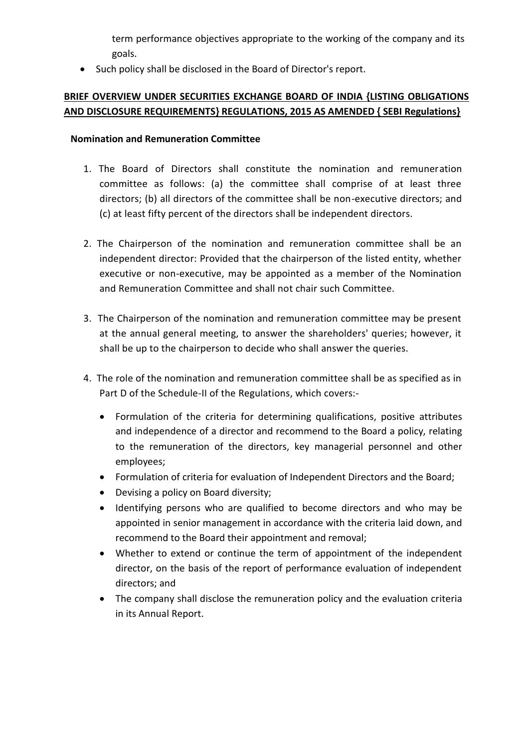term performance objectives appropriate to the working of the company and its goals.

• Such policy shall be disclosed in the Board of Director's report.

# **BRIEF OVERVIEW UNDER SECURITIES EXCHANGE BOARD OF INDIA {LISTING OBLIGATIONS AND DISCLOSURE REQUIREMENTS} REGULATIONS, 2015 AS AMENDED { SEBI Regulations}**

#### **Nomination and Remuneration Committee**

- 1. The Board of Directors shall constitute the nomination and remuneration committee as follows: (a) the committee shall comprise of at least three directors; (b) all directors of the committee shall be non-executive directors; and (c) at least fifty percent of the directors shall be independent directors.
- 2. The Chairperson of the nomination and remuneration committee shall be an independent director: Provided that the chairperson of the listed entity, whether executive or non-executive, may be appointed as a member of the Nomination and Remuneration Committee and shall not chair such Committee.
- 3. The Chairperson of the nomination and remuneration committee may be present at the annual general meeting, to answer the shareholders' queries; however, it shall be up to the chairperson to decide who shall answer the queries.
- 4. The role of the nomination and remuneration committee shall be as specified as in Part D of the Schedule-II of the Regulations, which covers:-
	- Formulation of the criteria for determining qualifications, positive attributes and independence of a director and recommend to the Board a policy, relating to the remuneration of the directors, key managerial personnel and other employees;
	- Formulation of criteria for evaluation of Independent Directors and the Board;
	- Devising a policy on Board diversity;
	- Identifying persons who are qualified to become directors and who may be appointed in senior management in accordance with the criteria laid down, and recommend to the Board their appointment and removal;
	- Whether to extend or continue the term of appointment of the independent director, on the basis of the report of performance evaluation of independent directors; and
	- The company shall disclose the remuneration policy and the evaluation criteria in its Annual Report.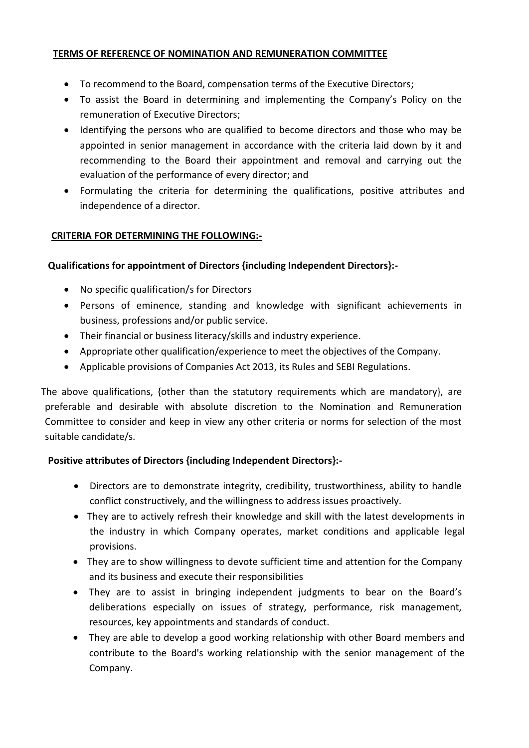### **TERMS OF REFERENCE OF NOMINATION AND REMUNERATION COMMITTEE**

- To recommend to the Board, compensation terms of the Executive Directors;
- To assist the Board in determining and implementing the Company's Policy on the remuneration of Executive Directors;
- Identifying the persons who are qualified to become directors and those who may be appointed in senior management in accordance with the criteria laid down by it and recommending to the Board their appointment and removal and carrying out the evaluation of the performance of every director; and
- Formulating the criteria for determining the qualifications, positive attributes and independence of a director.

#### **CRITERIA FOR DETERMINING THE FOLLOWING:-**

#### **Qualifications for appointment of Directors {including Independent Directors}:-**

- No specific qualification/s for Directors
- Persons of eminence, standing and knowledge with significant achievements in business, professions and/or public service.
- Their financial or business literacy/skills and industry experience.
- Appropriate other qualification/experience to meet the objectives of the Company.
- Applicable provisions of Companies Act 2013, its Rules and SEBI Regulations.

 The above qualifications, {other than the statutory requirements which are mandatory}, are preferable and desirable with absolute discretion to the Nomination and Remuneration Committee to consider and keep in view any other criteria or norms for selection of the most suitable candidate/s.

#### **Positive attributes of Directors {including Independent Directors}:-**

- Directors are to demonstrate integrity, credibility, trustworthiness, ability to handle conflict constructively, and the willingness to address issues proactively.
- They are to actively refresh their knowledge and skill with the latest developments in the industry in which Company operates, market conditions and applicable legal provisions.
- They are to show willingness to devote sufficient time and attention for the Company and its business and execute their responsibilities
- They are to assist in bringing independent judgments to bear on the Board's deliberations especially on issues of strategy, performance, risk management, resources, key appointments and standards of conduct.
- They are able to develop a good working relationship with other Board members and contribute to the Board's working relationship with the senior management of the Company.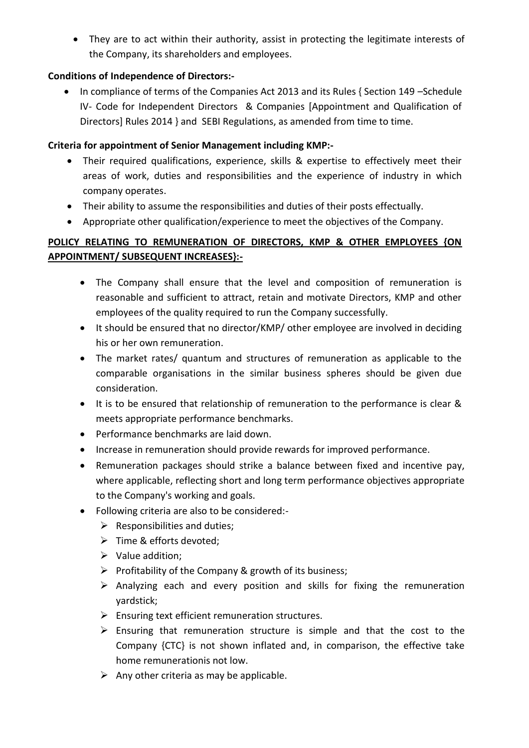They are to act within their authority, assist in protecting the legitimate interests of the Company, its shareholders and employees.

# **Conditions of Independence of Directors:-**

• In compliance of terms of the Companies Act 2013 and its Rules { Section 149 – Schedule IV- Code for Independent Directors & Companies [Appointment and Qualification of Directors] Rules 2014 } and SEBI Regulations, as amended from time to time.

### **Criteria for appointment of Senior Management including KMP:-**

- Their required qualifications, experience, skills & expertise to effectively meet their areas of work, duties and responsibilities and the experience of industry in which company operates.
- Their ability to assume the responsibilities and duties of their posts effectually.
- Appropriate other qualification/experience to meet the objectives of the Company.

# **POLICY RELATING TO REMUNERATION OF DIRECTORS, KMP & OTHER EMPLOYEES {ON APPOINTMENT/ SUBSEQUENT INCREASES}:-**

- The Company shall ensure that the level and composition of remuneration is reasonable and sufficient to attract, retain and motivate Directors, KMP and other employees of the quality required to run the Company successfully.
- It should be ensured that no director/KMP/ other employee are involved in deciding his or her own remuneration.
- The market rates/ quantum and structures of remuneration as applicable to the comparable organisations in the similar business spheres should be given due consideration.
- It is to be ensured that relationship of remuneration to the performance is clear & meets appropriate performance benchmarks.
- Performance benchmarks are laid down.
- Increase in remuneration should provide rewards for improved performance.
- Remuneration packages should strike a balance between fixed and incentive pay, where applicable, reflecting short and long term performance objectives appropriate to the Company's working and goals.
- Following criteria are also to be considered:-
	- $\triangleright$  Responsibilities and duties;
	- Fime & efforts devoted;
	- $\triangleright$  Value addition;
	- $\triangleright$  Profitability of the Company & growth of its business;
	- $\triangleright$  Analyzing each and every position and skills for fixing the remuneration yardstick;
	- $\triangleright$  Ensuring text efficient remuneration structures.
	- $\triangleright$  Ensuring that remuneration structure is simple and that the cost to the Company {CTC} is not shown inflated and, in comparison, the effective take home remunerationis not low.
	- $\triangleright$  Any other criteria as may be applicable.